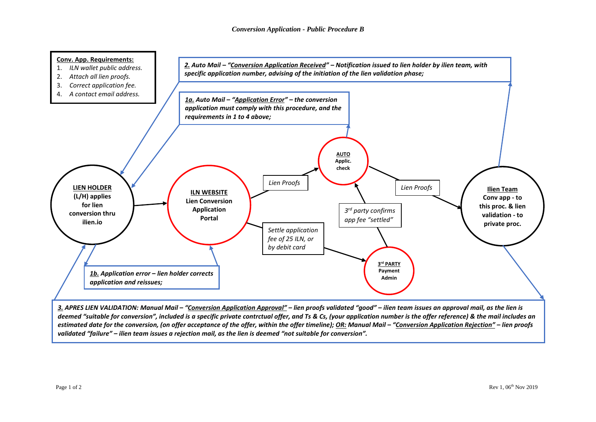

deemed "suitable for conversion", included is a specific private contrctual offer, and Ts & Cs, (your application number is the offer reference) & the mail includes an estimated date for the conversion, (on offer acceptance of the offer, within the offer timeline); OR: Manual Mail - "Conversion Application Rejection" - lien proofs *validated "failure" – ilien team issues a rejection mail, as the lien is deemed "not suitable for conversion".*